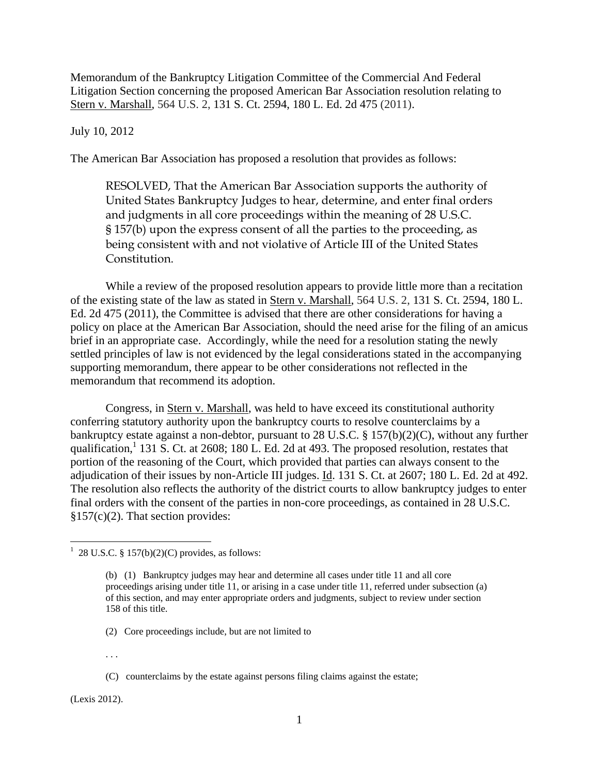Memorandum of the Bankruptcy Litigation Committee of the Commercial And Federal Litigation Section concerning the proposed American Bar Association resolution relating to Stern v. Marshall, 564 U.S. 2, 131 S. Ct. 2594, 180 L. Ed. 2d 475 (2011).

## July 10, 2012

The American Bar Association has proposed a resolution that provides as follows:

RESOLVED, That the American Bar Association supports the authority of United States Bankruptcy Judges to hear, determine, and enter final orders and judgments in all core proceedings within the meaning of 28 U.S.C. § 157(b) upon the express consent of all the parties to the proceeding, as being consistent with and not violative of Article III of the United States Constitution.

While a review of the proposed resolution appears to provide little more than a recitation of the existing state of the law as stated in Stern v. Marshall, 564 U.S. 2, 131 S. Ct. 2594, 180 L. Ed. 2d 475 (2011), the Committee is advised that there are other considerations for having a policy on place at the American Bar Association, should the need arise for the filing of an amicus brief in an appropriate case. Accordingly, while the need for a resolution stating the newly settled principles of law is not evidenced by the legal considerations stated in the accompanying supporting memorandum, there appear to be other considerations not reflected in the memorandum that recommend its adoption.

Congress, in Stern v. Marshall, was held to have exceed its constitutional authority conferring statutory authority upon the bankruptcy courts to resolve counterclaims by a bankruptcy estate against a non-debtor, pursuant to 28 U.S.C. § 157(b)(2)(C), without any further qualification,<sup>1</sup> 131 S. Ct. at 2608; 180 L. Ed. 2d at 493. The proposed resolution, restates that portion of the reasoning of the Court, which provided that parties can always consent to the adjudication of their issues by non-Article III judges. Id. 131 S. Ct. at 2607; 180 L. Ed. 2d at 492. The resolution also reflects the authority of the district courts to allow bankruptcy judges to enter final orders with the consent of the parties in non-core proceedings, as contained in 28 U.S.C.  $§157(c)(2)$ . That section provides:

. . .

(Lexis 2012).

 $\overline{a}$ 

 $1\,$  28 U.S.C. § 157(b)(2)(C) provides, as follows:

<sup>(</sup>b) (1) Bankruptcy judges may hear and determine all cases under title 11 and all core proceedings arising under title 11, or arising in a case under title 11, referred under subsection (a) of this section, and may enter appropriate orders and judgments, subject to review under section 158 of this title.

<sup>(2)</sup> Core proceedings include, but are not limited to

<sup>(</sup>C) counterclaims by the estate against persons filing claims against the estate;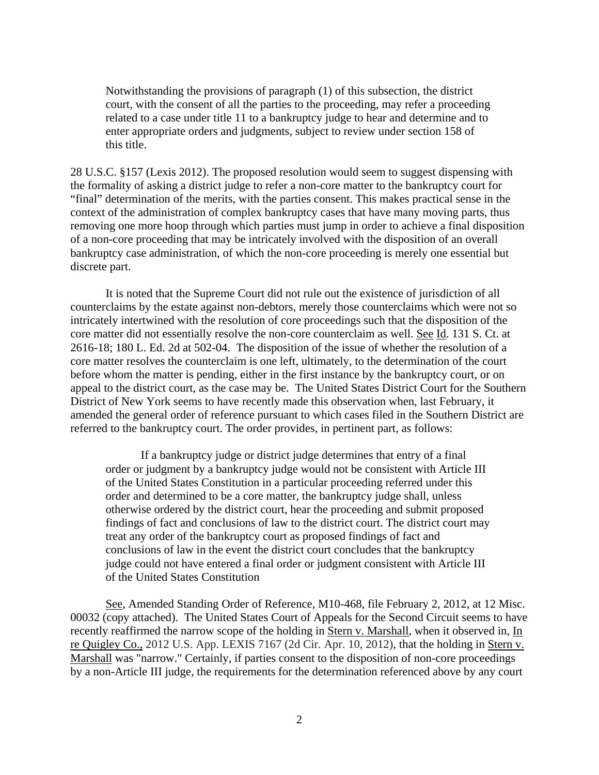Notwithstanding the provisions of paragraph (1) of this subsection, the district court, with the consent of all the parties to the proceeding, may refer a proceeding related to a case under title 11 to a bankruptcy judge to hear and determine and to enter appropriate orders and judgments, subject to review under section 158 of this title.

28 U.S.C. §157 (Lexis 2012). The proposed resolution would seem to suggest dispensing with the formality of asking a district judge to refer a non-core matter to the bankruptcy court for "final" determination of the merits, with the parties consent. This makes practical sense in the context of the administration of complex bankruptcy cases that have many moving parts, thus removing one more hoop through which parties must jump in order to achieve a final disposition of a non-core proceeding that may be intricately involved with the disposition of an overall bankruptcy case administration, of which the non-core proceeding is merely one essential but discrete part.

 It is noted that the Supreme Court did not rule out the existence of jurisdiction of all counterclaims by the estate against non-debtors, merely those counterclaims which were not so intricately intertwined with the resolution of core proceedings such that the disposition of the core matter did not essentially resolve the non-core counterclaim as well. See Id. 131 S. Ct. at 2616-18; 180 L. Ed. 2d at 502-04. The disposition of the issue of whether the resolution of a core matter resolves the counterclaim is one left, ultimately, to the determination of the court before whom the matter is pending, either in the first instance by the bankruptcy court, or on appeal to the district court, as the case may be. The United States District Court for the Southern District of New York seems to have recently made this observation when, last February, it amended the general order of reference pursuant to which cases filed in the Southern District are referred to the bankruptcy court. The order provides, in pertinent part, as follows:

If a bankruptcy judge or district judge determines that entry of a final order or judgment by a bankruptcy judge would not be consistent with Article III of the United States Constitution in a particular proceeding referred under this order and determined to be a core matter, the bankruptcy judge shall, unless otherwise ordered by the district court, hear the proceeding and submit proposed findings of fact and conclusions of law to the district court. The district court may treat any order of the bankruptcy court as proposed findings of fact and conclusions of law in the event the district court concludes that the bankruptcy judge could not have entered a final order or judgment consistent with Article III of the United States Constitution

See, Amended Standing Order of Reference, M10-468, file February 2, 2012, at 12 Misc. 00032 (copy attached). The United States Court of Appeals for the Second Circuit seems to have recently reaffirmed the narrow scope of the holding in Stern v. Marshall, when it observed in, In re Quigley Co., 2012 U.S. App. LEXIS 7167 (2d Cir. Apr. 10, 2012), that the holding in Stern v. Marshall was "narrow." Certainly, if parties consent to the disposition of non-core proceedings by a non-Article III judge, the requirements for the determination referenced above by any court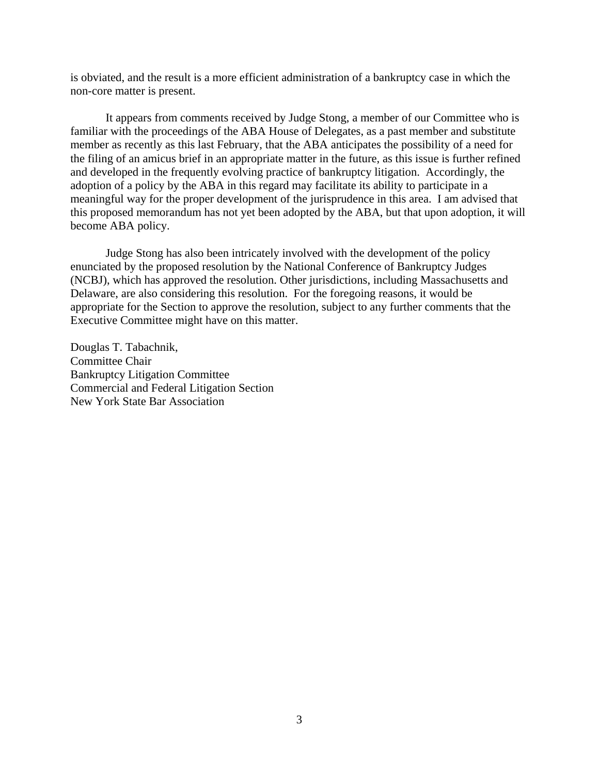is obviated, and the result is a more efficient administration of a bankruptcy case in which the non-core matter is present.

 It appears from comments received by Judge Stong, a member of our Committee who is familiar with the proceedings of the ABA House of Delegates, as a past member and substitute member as recently as this last February, that the ABA anticipates the possibility of a need for the filing of an amicus brief in an appropriate matter in the future, as this issue is further refined and developed in the frequently evolving practice of bankruptcy litigation. Accordingly, the adoption of a policy by the ABA in this regard may facilitate its ability to participate in a meaningful way for the proper development of the jurisprudence in this area. I am advised that this proposed memorandum has not yet been adopted by the ABA, but that upon adoption, it will become ABA policy.

Judge Stong has also been intricately involved with the development of the policy enunciated by the proposed resolution by the National Conference of Bankruptcy Judges (NCBJ), which has approved the resolution. Other jurisdictions, including Massachusetts and Delaware, are also considering this resolution. For the foregoing reasons, it would be appropriate for the Section to approve the resolution, subject to any further comments that the Executive Committee might have on this matter.

Douglas T. Tabachnik, Committee Chair Bankruptcy Litigation Committee Commercial and Federal Litigation Section New York State Bar Association